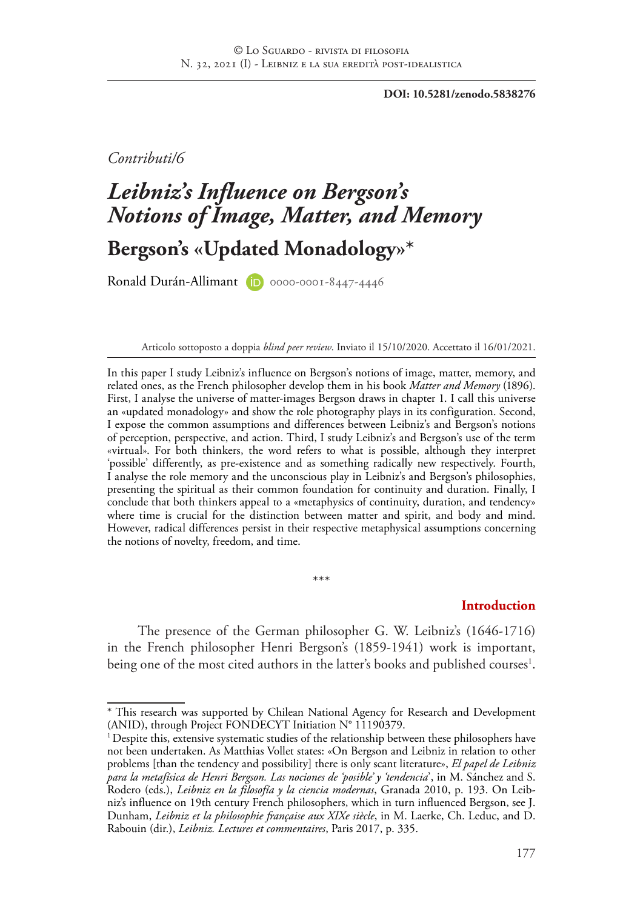**DOI: 10.5281/zenodo.5838276**

*Contributi/6*

# *Leibniz's Influence on Bergson's Notions of Image, Matter, and Memory* **Bergson's «Updated Monadology»\***

Ronald Durán-Allimant (D) 0000-0001-8447-4446

Articolo sottoposto a doppia *blind peer review*. Inviato il 15/10/2020. Accettato il 16/01/2021.

In this paper I study Leibniz's influence on Bergson's notions of image, matter, memory, and related ones, as the French philosopher develop them in his book *Matter and Memory* (1896). First, I analyse the universe of matter-images Bergson draws in chapter 1. I call this universe an «updated monadology» and show the role photography plays in its configuration. Second, I expose the common assumptions and differences between Leibniz's and Bergson's notions of perception, perspective, and action. Third, I study Leibniz's and Bergson's use of the term «virtual». For both thinkers, the word refers to what is possible, although they interpret 'possible' differently, as pre-existence and as something radically new respectively. Fourth, I analyse the role memory and the unconscious play in Leibniz's and Bergson's philosophies, presenting the spiritual as their common foundation for continuity and duration. Finally, I conclude that both thinkers appeal to a «metaphysics of continuity, duration, and tendency» where time is crucial for the distinction between matter and spirit, and body and mind. However, radical differences persist in their respective metaphysical assumptions concerning the notions of novelty, freedom, and time.

#### **Introduction**

The presence of the German philosopher G. W. Leibniz's (1646-1716) in the French philosopher Henri Bergson's (1859-1941) work is important, being one of the most cited authors in the latter's books and published courses<sup>1</sup>.

\*\*\*

<sup>\*</sup> This research was supported by Chilean National Agency for Research and Development (ANID), through Project FONDECYT Initiation N° 11190379.

 $1$  Despite this, extensive systematic studies of the relationship between these philosophers have not been undertaken. As Matthias Vollet states: «On Bergson and Leibniz in relation to other problems [than the tendency and possibility] there is only scant literature», *El papel de Leibniz para la metafísica de Henri Bergson. Las nociones de 'posible' y 'tendencia*', in M. Sánchez and S. Rodero (eds.), *Leibniz en la filosofía y la ciencia modernas*, Granada 2010, p. 193. On Leibniz's influence on 19th century French philosophers, which in turn influenced Bergson, see J. Dunham, *Leibniz et la philosophie française aux XIXe siècle*, in M. Laerke, Ch. Leduc, and D. Rabouin (dir.), *Leibniz. Lectures et commentaires*, Paris 2017, p. 335.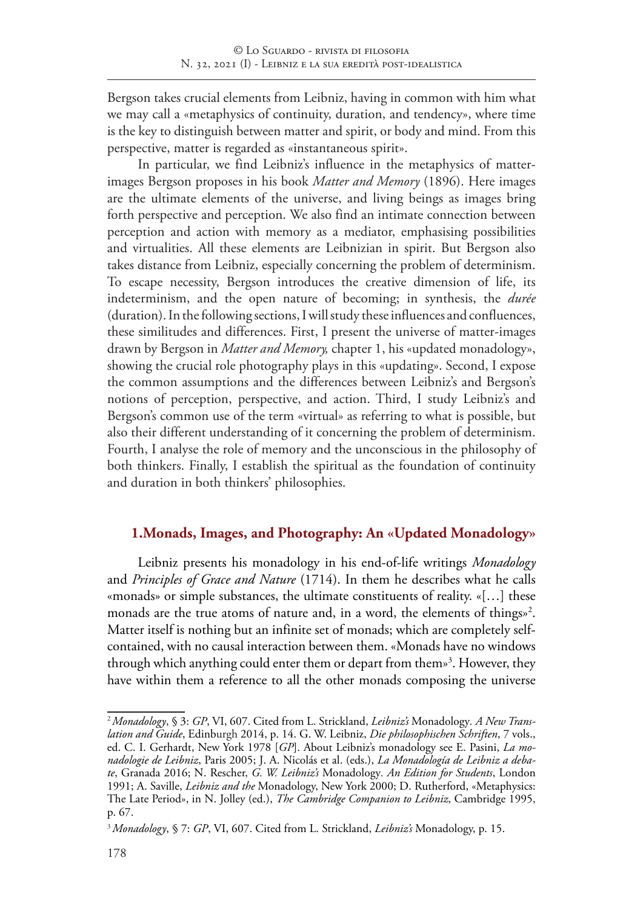Bergson takes crucial elements from Leibniz, having in common with him what we may call a «metaphysics of continuity, duration, and tendency», where time is the key to distinguish between matter and spirit, or body and mind. From this perspective, matter is regarded as «instantaneous spirit».

In particular, we find Leibniz's influence in the metaphysics of matterimages Bergson proposes in his book *Matter and Memory* (1896). Here images are the ultimate elements of the universe, and living beings as images bring forth perspective and perception. We also find an intimate connection between perception and action with memory as a mediator, emphasising possibilities and virtualities. All these elements are Leibnizian in spirit. But Bergson also takes distance from Leibniz, especially concerning the problem of determinism. To escape necessity, Bergson introduces the creative dimension of life, its indeterminism, and the open nature of becoming; in synthesis, the *durée*  (duration). In the following sections, I will study these influences and confluences, these similitudes and differences. First, I present the universe of matter-images drawn by Bergson in *Matter and Memory,* chapter 1, his «updated monadology», showing the crucial role photography plays in this «updating». Second, I expose the common assumptions and the differences between Leibniz's and Bergson's notions of perception, perspective, and action. Third, I study Leibniz's and Bergson's common use of the term «virtual» as referring to what is possible, but also their different understanding of it concerning the problem of determinism. Fourth, I analyse the role of memory and the unconscious in the philosophy of both thinkers. Finally, I establish the spiritual as the foundation of continuity and duration in both thinkers' philosophies.

# **1.Monads, Images, and Photography: An «Updated Monadology»**

Leibniz presents his monadology in his end-of-life writings *Monadology* and *Principles of Grace and Nature* (1714). In them he describes what he calls «monads» or simple substances, the ultimate constituents of reality. «[…] these monads are the true atoms of nature and, in a word, the elements of things»<sup>2</sup>. Matter itself is nothing but an infinite set of monads; which are completely selfcontained, with no causal interaction between them. «Monads have no windows through which anything could enter them or depart from them»3 . However, they have within them a reference to all the other monads composing the universe

<sup>2</sup>*Monadology*, § 3: *GP*, VI, 607. Cited from L. Strickland, *Leibniz's* Monadology*. A New Translation and Guide*, Edinburgh 2014, p. 14. G. W. Leibniz, *Die philosophischen Schriften*, 7 vols., ed. C. I. Gerhardt, New York 1978 [*GP*]. About Leibniz's monadology see E. Pasini, *La monadologie de Leibniz*, Paris 2005; J. A. Nicolás et al. (eds.), *La Monadología de Leibniz a debate*, Granada 2016; N. Rescher, *G. W. Leibniz's* Monadology*. An Edition for Students*, London 1991; A. Saville, *Leibniz and the* Monadology, New York 2000; D. Rutherford, «Metaphysics: The Late Period», in N. Jolley (ed.), *The Cambridge Companion to Leibniz*, Cambridge 1995, p. 67.

<sup>3</sup> *Monadology*, § 7: *GP*, VI, 607. Cited from L. Strickland, *Leibniz's* Monadology, p. 15.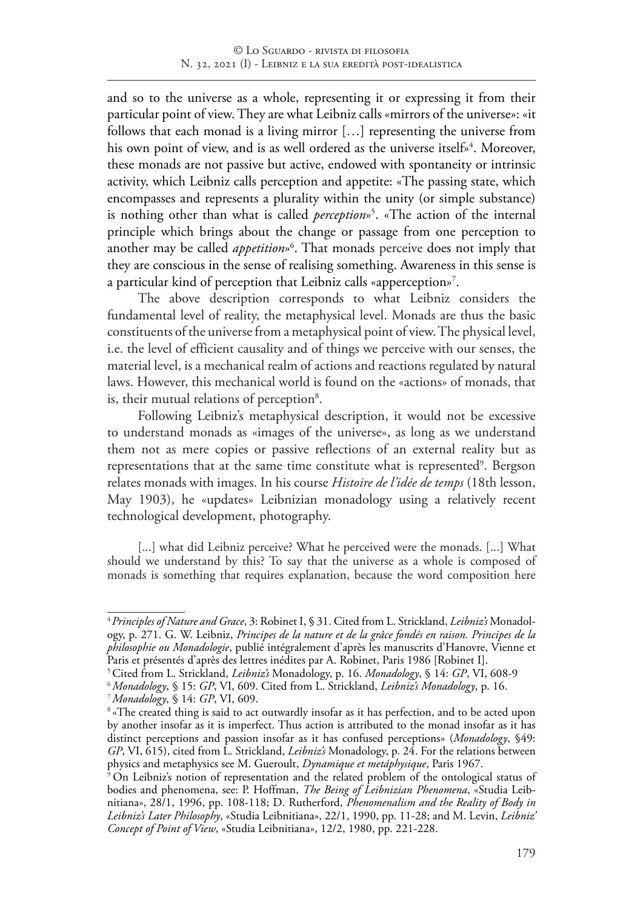and so to the universe as a whole, representing it or expressing it from their particular point of view. They are what Leibniz calls «mirrors of the universe»: «it follows that each monad is a living mirror […] representing the universe from his own point of view, and is as well ordered as the universe itself»<sup>4</sup>. Moreover, these monads are not passive but active, endowed with spontaneity or intrinsic activity, which Leibniz calls perception and appetite: «The passing state, which encompasses and represents a plurality within the unity (or simple substance) is nothing other than what is called *perception*»5 . «The action of the internal principle which brings about the change or passage from one perception to another may be called *appetition*»6 . That monads perceive does not imply that they are conscious in the sense of realising something. Awareness in this sense is a particular kind of perception that Leibniz calls «apperception»<sup>7</sup>.

The above description corresponds to what Leibniz considers the fundamental level of reality, the metaphysical level. Monads are thus the basic constituents of the universe from a metaphysical point of view. The physical level, i.e. the level of efficient causality and of things we perceive with our senses, the material level, is a mechanical realm of actions and reactions regulated by natural laws. However, this mechanical world is found on the «actions» of monads, that is, their mutual relations of perception<sup>8</sup>.

Following Leibniz's metaphysical description, it would not be excessive to understand monads as «images of the universe», as long as we understand them not as mere copies or passive reflections of an external reality but as representations that at the same time constitute what is represented<sup>9</sup>. Bergson relates monads with images. In his course *Histoire de l'idée de temps* (18th lesson, May 1903), he «updates» Leibnizian monadology using a relatively recent technological development, photography.

[...] what did Leibniz perceive? What he perceived were the monads. [...] What should we understand by this? To say that the universe as a whole is composed of monads is something that requires explanation, because the word composition here

<sup>4</sup>*Principles of Nature and Grace*, 3: Robinet I, § 31. Cited from L. Strickland, *Leibniz's* Monadology, p. 271. G. W. Leibniz, *Principes de la nature et de la grâce fondés en raison. Principes de la philosophie ou Monadologie*, publié intégralement d'après les manuscrits d'Hanovre, Vienne et Paris et présentés d'après des lettres inédites par A. Robinet, Paris 1986 [Robinet I].

<sup>5</sup>Cited from L. Strickland, *Leibniz's* Monadology, p. 16. *Monadology*, § 14: *GP*, VI, 608-9

<sup>6</sup> *Monadology*, § 15: *GP*, VI, 609. Cited from L. Strickland, *Leibniz's Monadology*, p. 16.

<sup>7</sup>*Monadology*, § 14: *GP*, VI, 609.

<sup>&</sup>lt;sup>8</sup> «The created thing is said to act outwardly insofar as it has perfection, and to be acted upon by another insofar as it is imperfect. Thus action is attributed to the monad insofar as it has distinct perceptions and passion insofar as it has confused perceptions» (*Monadology*, §49: *GP*, VI, 615), cited from L. Strickland, *Leibniz's* Monadology, p. 24. For the relations between physics and metaphysics see M. Gueroult, *Dynamique et metáphysique*, Paris 1967.

<sup>&</sup>lt;sup>9</sup> On Leibniz's notion of representation and the related problem of the ontological status of bodies and phenomena, see: P. Hoffman, *The Being of Leibnizian Phenomena*, «Studia Leibnitiana», 28/1, 1996, pp. 108-118; D. Rutherford, *Phenomenalism and the Reality of Body in Leibniz's Later Philosophy*, «Studia Leibnitiana», 22/1, 1990, pp. 11-28; and M. Levin, *Leibniz' Concept of Point of View*, «Studia Leibnitiana», 12/2, 1980, pp. 221-228.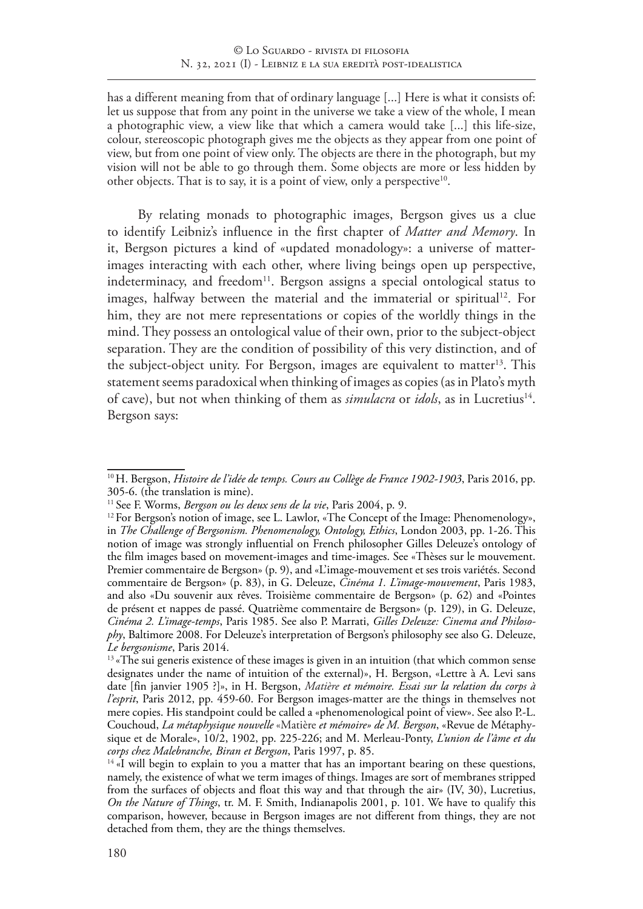has a different meaning from that of ordinary language [...] Here is what it consists of: let us suppose that from any point in the universe we take a view of the whole, I mean a photographic view, a view like that which a camera would take [...] this life-size, colour, stereoscopic photograph gives me the objects as they appear from one point of view, but from one point of view only. The objects are there in the photograph, but my vision will not be able to go through them. Some objects are more or less hidden by other objects. That is to say, it is a point of view, only a perspective<sup>10</sup>.

By relating monads to photographic images, Bergson gives us a clue to identify Leibniz's influence in the first chapter of *Matter and Memory*. In it, Bergson pictures a kind of «updated monadology»: a universe of matterimages interacting with each other, where living beings open up perspective, indeterminacy, and freedom<sup>11</sup>. Bergson assigns a special ontological status to images, halfway between the material and the immaterial or spiritual<sup>12</sup>. For him, they are not mere representations or copies of the worldly things in the mind. They possess an ontological value of their own, prior to the subject-object separation. They are the condition of possibility of this very distinction, and of the subject-object unity. For Bergson, images are equivalent to matter<sup>13</sup>. This statement seems paradoxical when thinking of images as copies (as in Plato's myth of cave), but not when thinking of them as *simulacra* or *idols*, as in Lucretius<sup>14</sup>. Bergson says:

<sup>10</sup>H. Bergson, *Histoire de l'idée de temps. Cours au Collège de France 1902-1903*, Paris 2016, pp. 305-6. (the translation is mine).<br><sup>11</sup> See F. Worms, *Bergson ou les deux sens de la vie*, Paris 2004, p. 9.

<sup>&</sup>lt;sup>12</sup> For Bergson's notion of image, see L. Lawlor, «The Concept of the Image: Phenomenology», in *The Challenge of Bergsonism. Phenomenology, Ontology, Ethics*, London 2003, pp. 1-26. This notion of image was strongly influential on French philosopher Gilles Deleuze's ontology of the film images based on movement-images and time-images. See «Thèses sur le mouvement. Premier commentaire de Bergson» (p. 9), and «L'image-mouvement et ses trois variétés. Second commentaire de Bergson» (p. 83), in G. Deleuze, *Cinéma 1. L'image-mouvement*, Paris 1983, and also «Du souvenir aux rêves. Troisième commentaire de Bergson» (p. 62) and «Pointes de présent et nappes de passé. Quatrième commentaire de Bergson» (p. 129), in G. Deleuze, *Cinéma 2. L'image-temps*, Paris 1985. See also P. Marrati, *Gilles Deleuze: Cinema and Philosophy*, Baltimore 2008. For Deleuze's interpretation of Bergson's philosophy see also G. Deleuze,

*Le bergsonisme*, Paris 2014.<br><sup>13</sup> «The sui generis existence of these images is given in an intuition (that which common sense designates under the name of intuition of the external)», H. Bergson, «Lettre à A. Levi sans date [fin janvier 1905 ?]», in H. Bergson, *Matière et mémoire. Essai sur la relation du corps à l'esprit*, Paris 2012, pp. 459-60. For Bergson images-matter are the things in themselves not mere copies. His standpoint could be called a «phenomenological point of view». See also P.-L. Couchoud, *La métaphysique nouvelle* «Matière *et mémoire» de M. Bergson*, «Revue de Métaphysique et de Morale», 10/2, 1902, pp. 225-226; and M. Merleau-Ponty, *L'union de l'âme et du corps chez Malebranche, Biran et Bergson*, Paris 1997, p. 85.

 $14$  «I will begin to explain to you a matter that has an important bearing on these questions, namely, the existence of what we term images of things. Images are sort of membranes stripped from the surfaces of objects and float this way and that through the air» (IV, 30), Lucretius, *On the Nature of Things*, tr. M. F. Smith, Indianapolis 2001, p. 101. We have to qualify this comparison, however, because in Bergson images are not different from things, they are not detached from them, they are the things themselves.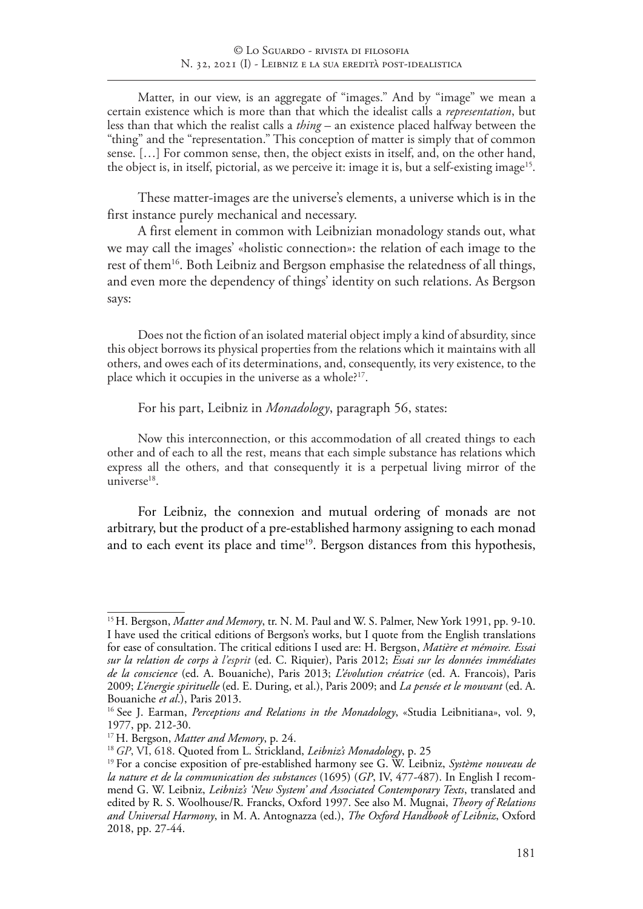Matter, in our view, is an aggregate of "images." And by "image" we mean a certain existence which is more than that which the idealist calls a *representation*, but less than that which the realist calls a *thing* – an existence placed halfway between the "thing" and the "representation." This conception of matter is simply that of common sense. […] For common sense, then, the object exists in itself, and, on the other hand, the object is, in itself, pictorial, as we perceive it: image it is, but a self-existing image<sup>15</sup>.

These matter-images are the universe's elements, a universe which is in the first instance purely mechanical and necessary.

A first element in common with Leibnizian monadology stands out, what we may call the images' «holistic connection»: the relation of each image to the rest of them<sup>16</sup>. Both Leibniz and Bergson emphasise the relatedness of all things, and even more the dependency of things' identity on such relations. As Bergson says:

Does not the fiction of an isolated material object imply a kind of absurdity, since this object borrows its physical properties from the relations which it maintains with all others, and owes each of its determinations, and, consequently, its very existence, to the place which it occupies in the universe as a whole?<sup>17</sup>.

For his part, Leibniz in *Monadology*, paragraph 56, states:

Now this interconnection, or this accommodation of all created things to each other and of each to all the rest, means that each simple substance has relations which express all the others, and that consequently it is a perpetual living mirror of the universe<sup>18</sup>.

For Leibniz, the connexion and mutual ordering of monads are not arbitrary, but the product of a pre-established harmony assigning to each monad and to each event its place and time<sup>19</sup>. Bergson distances from this hypothesis,

<sup>&</sup>lt;sup>15</sup> H. Bergson, *Matter and Memory*, tr. N. M. Paul and W. S. Palmer, New York 1991, pp. 9-10. I have used the critical editions of Bergson's works, but I quote from the English translations for ease of consultation. The critical editions I used are: H. Bergson, *Matière et mémoire. Essai sur la relation de corps à l'esprit* (ed. C. Riquier), Paris 2012; *Essai sur les données immédiates de la conscience* (ed. A. Bouaniche), Paris 2013; *L'évolution créatrice* (ed. A. Francois), Paris 2009; *L'énergie spirituelle* (ed. E. During, et al.), Paris 2009; and *La pensée et le mouvant* (ed. A. Bouaniche *et al*.), Paris 2013.

<sup>16</sup> See J. Earman, *Perceptions and Relations in the Monadology*, «Studia Leibnitiana», vol. 9, 1977, pp. 212-30.

<sup>17</sup> H. Bergson, *Matter and Memory*, p. 24.

<sup>18</sup> *GP*, VI, 618. Quoted from L. Strickland, *Leibniz's Monadology*, p. 25

<sup>19</sup> For a concise exposition of pre-established harmony see G. W. Leibniz, *Système nouveau de la nature et de la communication des substances* (1695) (*GP*, IV, 477-487). In English I recommend G. W. Leibniz, *Leibniz's 'New System' and Associated Contemporary Texts*, translated and edited by R. S. Woolhouse/R. Francks, Oxford 1997. See also M. Mugnai, *Theory of Relations and Universal Harmony*, in M. A. Antognazza (ed.), *The Oxford Handbook of Leibniz*, Oxford 2018, pp. 27-44.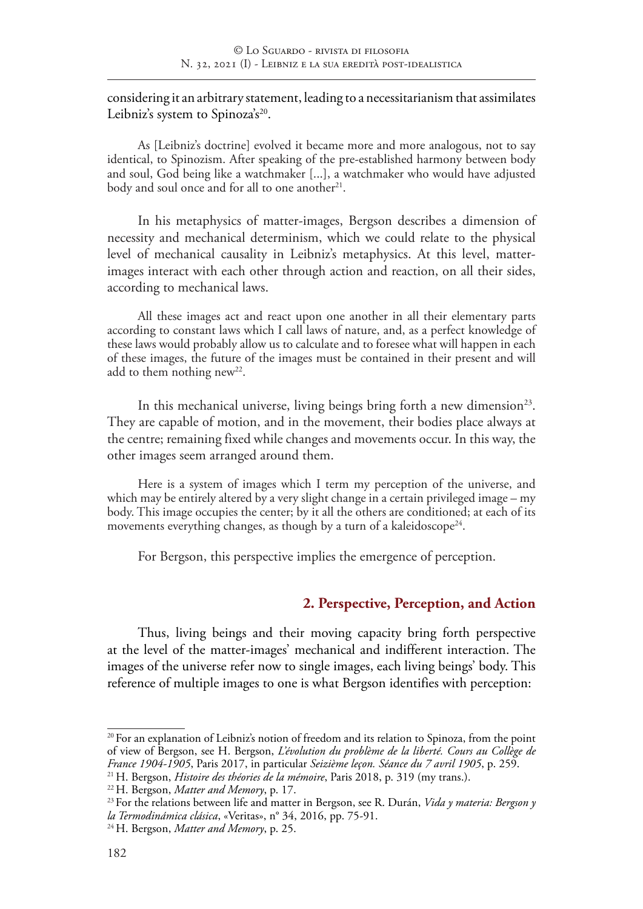### considering it an arbitrary statement, leading to a necessitarianism that assimilates Leibniz's system to Spinoza's<sup>20</sup>.

As [Leibniz's doctrine] evolved it became more and more analogous, not to say identical, to Spinozism. After speaking of the pre-established harmony between body and soul, God being like a watchmaker [...], a watchmaker who would have adjusted body and soul once and for all to one another<sup>21</sup>.

In his metaphysics of matter-images, Bergson describes a dimension of necessity and mechanical determinism, which we could relate to the physical level of mechanical causality in Leibniz's metaphysics. At this level, matterimages interact with each other through action and reaction, on all their sides, according to mechanical laws.

All these images act and react upon one another in all their elementary parts according to constant laws which I call laws of nature, and, as a perfect knowledge of these laws would probably allow us to calculate and to foresee what will happen in each of these images, the future of the images must be contained in their present and will add to them nothing new<sup>22</sup>.

In this mechanical universe, living beings bring forth a new dimension<sup>23</sup>. They are capable of motion, and in the movement, their bodies place always at the centre; remaining fixed while changes and movements occur. In this way, the other images seem arranged around them.

Here is a system of images which I term my perception of the universe, and which may be entirely altered by a very slight change in a certain privileged image – my body. This image occupies the center; by it all the others are conditioned; at each of its movements everything changes, as though by a turn of a kaleidoscope<sup>24</sup>.

For Bergson, this perspective implies the emergence of perception.

### **2. Perspective, Perception, and Action**

Thus, living beings and their moving capacity bring forth perspective at the level of the matter-images' mechanical and indifferent interaction. The images of the universe refer now to single images, each living beings' body. This reference of multiple images to one is what Bergson identifies with perception:

 $20$  For an explanation of Leibniz's notion of freedom and its relation to Spinoza, from the point of view of Bergson, see H. Bergson, *L'évolution du problème de la liberté. Cours au Collège de France 1904-1905*, Paris 2017, in particular *Seizième leçon. Séance du 7 avril 1905*, p. 259. 21 H. Bergson, *Histoire des théories de la mémoire*, Paris 2018, p. 319 (my trans.).

<sup>22</sup> H. Bergson, *Matter and Memory*, p. 17.

<sup>23</sup> For the relations between life and matter in Bergson, see R. Durán, *Vida y materia: Bergson y la Termodinámica clásica*, «Veritas», n° 34, 2016, pp. 75-91.

<sup>24</sup> H. Bergson, *Matter and Memory*, p. 25.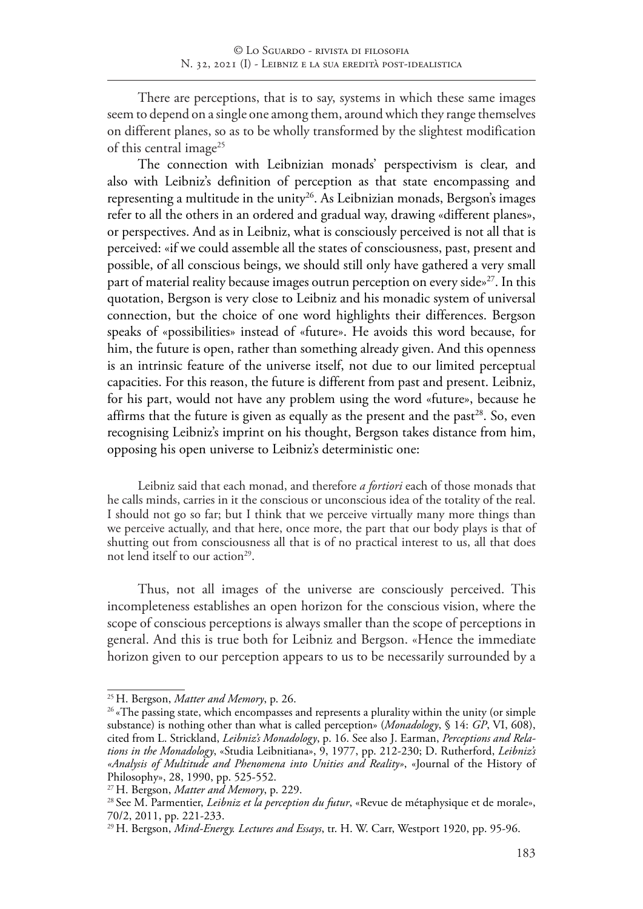There are perceptions, that is to say, systems in which these same images seem to depend on a single one among them, around which they range themselves on different planes, so as to be wholly transformed by the slightest modification of this central image<sup>25</sup>

The connection with Leibnizian monads' perspectivism is clear, and also with Leibniz's definition of perception as that state encompassing and representing a multitude in the unity<sup>26</sup>. As Leibnizian monads, Bergson's images refer to all the others in an ordered and gradual way, drawing «different planes», or perspectives. And as in Leibniz, what is consciously perceived is not all that is perceived: «if we could assemble all the states of consciousness, past, present and possible, of all conscious beings, we should still only have gathered a very small part of material reality because images outrun perception on every side $x^{27}$ . In this quotation, Bergson is very close to Leibniz and his monadic system of universal connection, but the choice of one word highlights their differences. Bergson speaks of «possibilities» instead of «future». He avoids this word because, for him, the future is open, rather than something already given. And this openness is an intrinsic feature of the universe itself, not due to our limited perceptual capacities. For this reason, the future is different from past and present. Leibniz, for his part, would not have any problem using the word «future», because he affirms that the future is given as equally as the present and the past<sup>28</sup>. So, even recognising Leibniz's imprint on his thought, Bergson takes distance from him, opposing his open universe to Leibniz's deterministic one:

Leibniz said that each monad, and therefore *a fortiori* each of those monads that he calls minds, carries in it the conscious or unconscious idea of the totality of the real. I should not go so far; but I think that we perceive virtually many more things than we perceive actually, and that here, once more, the part that our body plays is that of shutting out from consciousness all that is of no practical interest to us, all that does not lend itself to our action<sup>29</sup>.

Thus, not all images of the universe are consciously perceived. This incompleteness establishes an open horizon for the conscious vision, where the scope of conscious perceptions is always smaller than the scope of perceptions in general. And this is true both for Leibniz and Bergson. «Hence the immediate horizon given to our perception appears to us to be necessarily surrounded by a

<sup>25</sup> H. Bergson, *Matter and Memory*, p. 26.

<sup>&</sup>lt;sup>26</sup> «The passing state, which encompasses and represents a plurality within the unity (or simple substance) is nothing other than what is called perception» (*Monadology*, § 14: *GP*, VI, 608), cited from L. Strickland, *Leibniz's Monadology*, p. 16. See also J. Earman, *Perceptions and Relations in the Monadology*, «Studia Leibnitiana», 9, 1977, pp. 212-230; D. Rutherford, *Leibniz's «Analysis of Multitude and Phenomena into Unities and Reality»*, «Journal of the History of Philosophy», 28, 1990, pp. 525-552.

<sup>27</sup> H. Bergson, *Matter and Memory*, p. 229.

<sup>28</sup> See M. Parmentier, *Leibniz et la perception du futur*, «Revue de métaphysique et de morale», 70/2, 2011, pp. 221-233.

<sup>29</sup> H. Bergson, *Mind-Energy. Lectures and Essays*, tr. H. W. Carr, Westport 1920, pp. 95-96.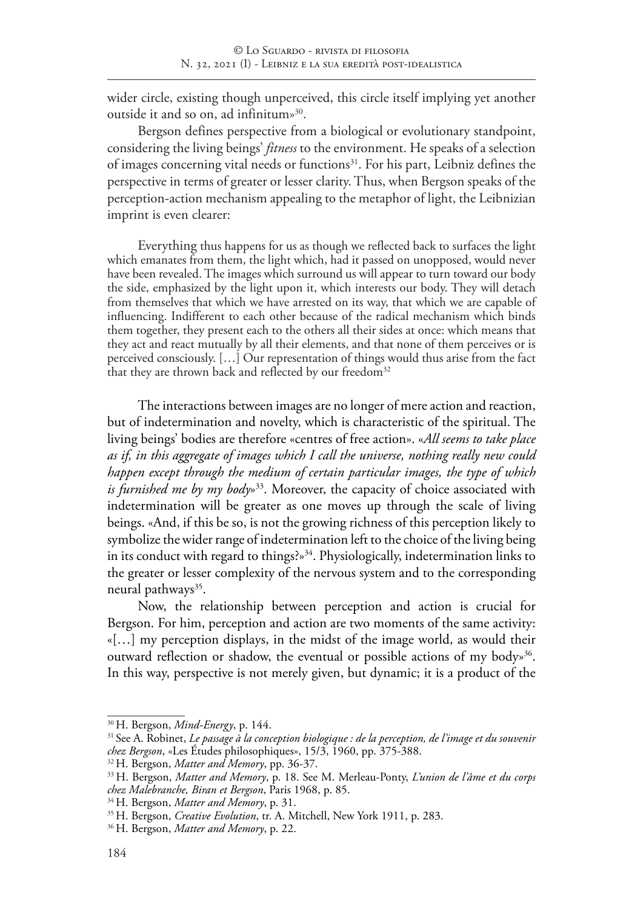wider circle, existing though unperceived, this circle itself implying yet another outside it and so on, ad infinitum»30.

Bergson defines perspective from a biological or evolutionary standpoint, considering the living beings' *fitness* to the environment. He speaks of a selection of images concerning vital needs or functions<sup>31</sup>. For his part, Leibniz defines the perspective in terms of greater or lesser clarity. Thus, when Bergson speaks of the perception-action mechanism appealing to the metaphor of light, the Leibnizian imprint is even clearer:

Everything thus happens for us as though we reflected back to surfaces the light which emanates from them, the light which, had it passed on unopposed, would never have been revealed. The images which surround us will appear to turn toward our body the side, emphasized by the light upon it, which interests our body. They will detach from themselves that which we have arrested on its way, that which we are capable of influencing. Indifferent to each other because of the radical mechanism which binds them together, they present each to the others all their sides at once: which means that they act and react mutually by all their elements, and that none of them perceives or is perceived consciously. […] Our representation of things would thus arise from the fact that they are thrown back and reflected by our freedom<sup>32</sup>

The interactions between images are no longer of mere action and reaction, but of indetermination and novelty, which is characteristic of the spiritual. The living beings' bodies are therefore «centres of free action». «*All seems to take place as if, in this aggregate of images which I call the universe, nothing really new could happen except through the medium of certain particular images, the type of which is furnished me by my body*»33. Moreover, the capacity of choice associated with indetermination will be greater as one moves up through the scale of living beings. «And, if this be so, is not the growing richness of this perception likely to symbolize the wider range of indetermination left to the choice of the living being in its conduct with regard to things?»<sup>34</sup>. Physiologically, indetermination links to the greater or lesser complexity of the nervous system and to the corresponding neural pathways<sup>35</sup>.

Now, the relationship between perception and action is crucial for Bergson. For him, perception and action are two moments of the same activity: «[…] my perception displays, in the midst of the image world, as would their outward reflection or shadow, the eventual or possible actions of my body<sup>36</sup>. In this way, perspective is not merely given, but dynamic; it is a product of the

<sup>30</sup> H. Bergson, *Mind-Energy*, p. 144.

<sup>31</sup> See A. Robinet, *Le passage à la conception biologique : de la perception, de l'image et du souvenir chez Bergson*, «Les Études philosophiques», 15/3, 1960, pp. 375-388.

<sup>32</sup> H. Bergson, *Matter and Memory*, pp. 36-37.

<sup>33</sup> H. Bergson, *Matter and Memory*, p. 18. See M. Merleau-Ponty, *L'union de l'âme et du corps chez Malebranche, Biran et Bergson*, Paris 1968, p. 85.

<sup>34</sup> H. Bergson, *Matter and Memory*, p. 31.

<sup>35</sup> H. Bergson, *Creative Evolution*, tr. A. Mitchell, New York 1911, p. 283.

<sup>36</sup> H. Bergson, *Matter and Memory*, p. 22.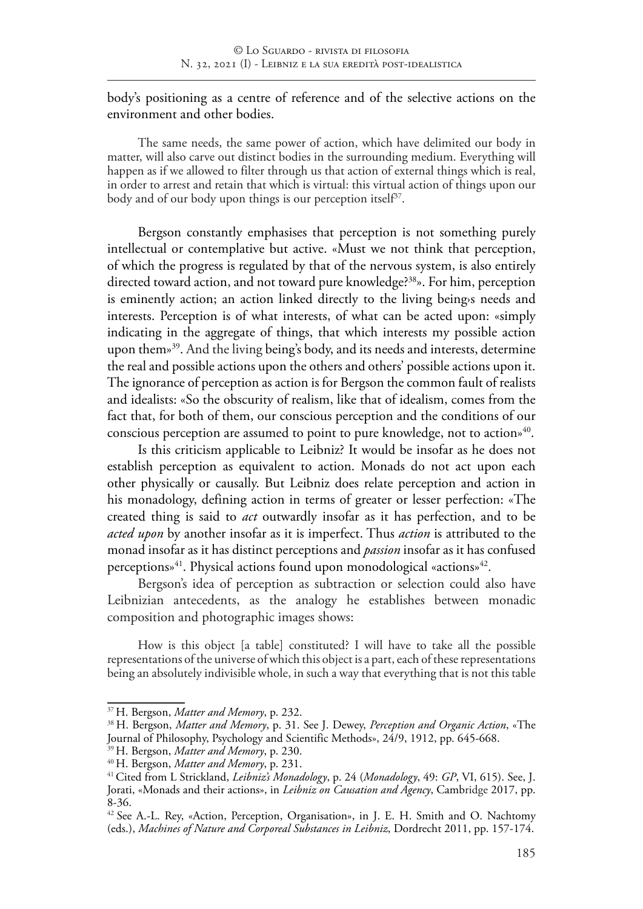body's positioning as a centre of reference and of the selective actions on the environment and other bodies.

The same needs, the same power of action, which have delimited our body in matter, will also carve out distinct bodies in the surrounding medium. Everything will happen as if we allowed to filter through us that action of external things which is real, in order to arrest and retain that which is virtual: this virtual action of things upon our body and of our body upon things is our perception itself<sup>37</sup>.

Bergson constantly emphasises that perception is not something purely intellectual or contemplative but active. «Must we not think that perception, of which the progress is regulated by that of the nervous system, is also entirely directed toward action, and not toward pure knowledge?<sup>38</sup>». For him, perception is eminently action; an action linked directly to the living being's needs and interests. Perception is of what interests, of what can be acted upon: «simply indicating in the aggregate of things, that which interests my possible action upon them»39. And the living being's body, and its needs and interests, determine the real and possible actions upon the others and others' possible actions upon it. The ignorance of perception as action is for Bergson the common fault of realists and idealists: «So the obscurity of realism, like that of idealism, comes from the fact that, for both of them, our conscious perception and the conditions of our conscious perception are assumed to point to pure knowledge, not to action»<sup>40</sup>.

Is this criticism applicable to Leibniz? It would be insofar as he does not establish perception as equivalent to action. Monads do not act upon each other physically or causally. But Leibniz does relate perception and action in his monadology, defining action in terms of greater or lesser perfection: «The created thing is said to *act* outwardly insofar as it has perfection, and to be *acted upon* by another insofar as it is imperfect. Thus *action* is attributed to the monad insofar as it has distinct perceptions and *passion* insofar as it has confused perceptions»<sup>41</sup>. Physical actions found upon monodological «actions»<sup>42</sup>.

Bergson's idea of perception as subtraction or selection could also have Leibnizian antecedents, as the analogy he establishes between monadic composition and photographic images shows:

How is this object [a table] constituted? I will have to take all the possible representations of the universe of which this object is a part, each of these representations being an absolutely indivisible whole, in such a way that everything that is not this table

<sup>37</sup> H. Bergson, *Matter and Memory*, p. 232.

<sup>38</sup> H. Bergson, *Matter and Memory*, p. 31. See J. Dewey, *Perception and Organic Action*, «The Journal of Philosophy, Psychology and Scientific Methods», 24/9, 1912, pp. 645-668. <sup>39</sup> H. Bergson, *Matter and Memory*, p. 230.

<sup>40</sup> H. Bergson, *Matter and Memory*, p. 231.

<sup>41</sup>Cited from L Strickland, *Leibniz's Monadology*, p. 24 (*Monadology*, 49: *GP*, VI, 615). See, J. Jorati, «Monads and their actions», in *Leibniz on Causation and Agency*, Cambridge 2017, pp. 8-36.

<sup>&</sup>lt;sup>42</sup> See A.-L. Rey, «Action, Perception, Organisation», in J. E. H. Smith and O. Nachtomy (eds.), *Machines of Nature and Corporeal Substances in Leibniz*, Dordrecht 2011, pp. 157-174.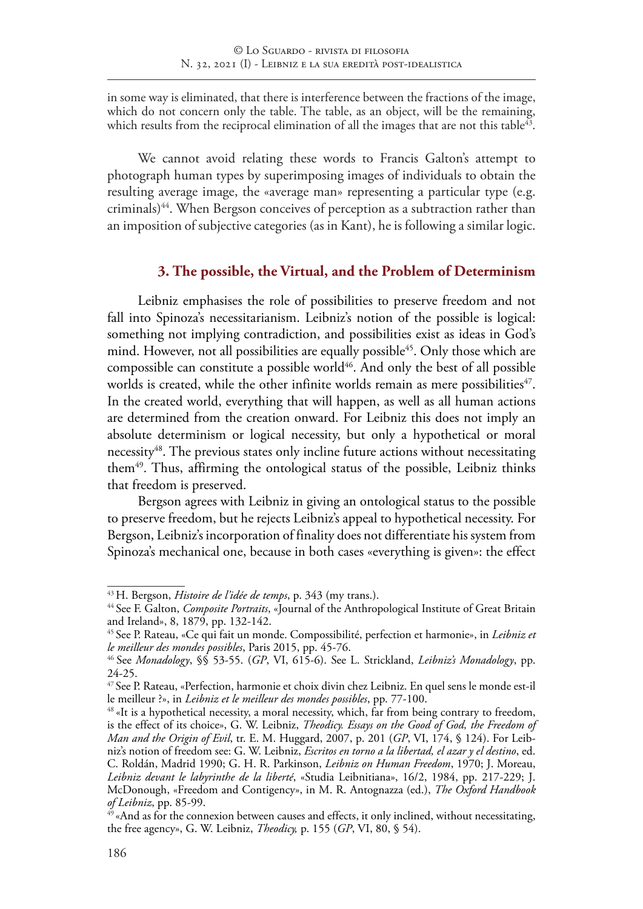in some way is eliminated, that there is interference between the fractions of the image, which do not concern only the table. The table, as an object, will be the remaining, which results from the reciprocal elimination of all the images that are not this table<sup>43</sup>.

We cannot avoid relating these words to Francis Galton's attempt to photograph human types by superimposing images of individuals to obtain the resulting average image, the «average man» representing a particular type (e.g. criminals)<sup>44</sup>. When Bergson conceives of perception as a subtraction rather than an imposition of subjective categories (as in Kant), he is following a similar logic.

#### **3. The possible, the Virtual, and the Problem of Determinism**

Leibniz emphasises the role of possibilities to preserve freedom and not fall into Spinoza's necessitarianism. Leibniz's notion of the possible is logical: something not implying contradiction, and possibilities exist as ideas in God's mind. However, not all possibilities are equally possible<sup>45</sup>. Only those which are compossible can constitute a possible world<sup>46</sup>. And only the best of all possible worlds is created, while the other infinite worlds remain as mere possibilities $47$ . In the created world, everything that will happen, as well as all human actions are determined from the creation onward. For Leibniz this does not imply an absolute determinism or logical necessity, but only a hypothetical or moral necessity<sup>48</sup>. The previous states only incline future actions without necessitating them<sup>49</sup>. Thus, affirming the ontological status of the possible, Leibniz thinks that freedom is preserved.

Bergson agrees with Leibniz in giving an ontological status to the possible to preserve freedom, but he rejects Leibniz's appeal to hypothetical necessity. For Bergson, Leibniz's incorporation of finality does not differentiate his system from Spinoza's mechanical one, because in both cases «everything is given»: the effect

<sup>43</sup> H. Bergson, *Histoire de l'idée de temps*, p. 343 (my trans.).

<sup>44</sup> See F. Galton, *Composite Portraits*, «Journal of the Anthropological Institute of Great Britain and Ireland», 8, 1879, pp. 132-142.

<sup>45</sup> See P. Rateau, «Ce qui fait un monde. Compossibilité, perfection et harmonie», in *Leibniz et le meilleur des mondes possibles*, Paris 2015, pp. 45-76.

<sup>46</sup> See *Monadology*, §§ 53-55. (*GP*, VI, 615-6). See L. Strickland, *Leibniz's Monadology*, pp. 24-25.

<sup>47</sup> See P. Rateau, «Perfection, harmonie et choix divin chez Leibniz. En quel sens le monde est-il le meilleur ?», in *Leibniz et le meilleur des mondes possibles*, pp. 77-100.

 $^{48}$  «It is a hypothetical necessity, a moral necessity, which, far from being contrary to freedom, is the effect of its choice», G. W. Leibniz, *Theodicy. Essays on the Good of God, the Freedom of Man and the Origin of Evil*, tr. E. M. Huggard, 2007, p. 201 (*GP*, VI, 174, § 124). For Leibniz's notion of freedom see: G. W. Leibniz, *Escritos en torno a la libertad, el azar y el destino*, ed. C. Roldán, Madrid 1990; G. H. R. Parkinson, *Leibniz on Human Freedom*, 1970; J. Moreau, *Leibniz devant le labyrinthe de la liberté*, «Studia Leibnitiana», 16/2, 1984, pp. 217-229; J. McDonough, «Freedom and Contigency», in M. R. Antognazza (ed.), *The Oxford Handbook of Leibniz*, pp. 85-99.

 $49\%$  «And as for the connexion between causes and effects, it only inclined, without necessitating, the free agency», G. W. Leibniz, *Theodicy,* p. 155 (*GP*, VI, 80, § 54).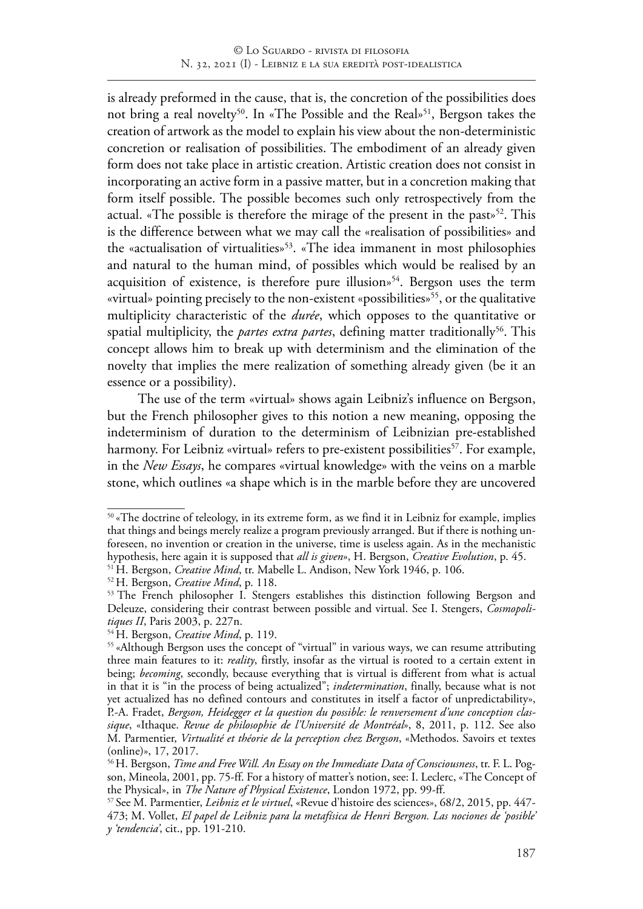is already preformed in the cause, that is, the concretion of the possibilities does not bring a real novelty<sup>50</sup>. In «The Possible and the Real»<sup>51</sup>, Bergson takes the creation of artwork as the model to explain his view about the non-deterministic concretion or realisation of possibilities. The embodiment of an already given form does not take place in artistic creation. Artistic creation does not consist in incorporating an active form in a passive matter, but in a concretion making that form itself possible. The possible becomes such only retrospectively from the actual. «The possible is therefore the mirage of the present in the past»<sup>52</sup>. This is the difference between what we may call the «realisation of possibilities» and the «actualisation of virtualities»<sup>53</sup>. «The idea immanent in most philosophies and natural to the human mind, of possibles which would be realised by an acquisition of existence, is therefore pure illusion<sup> $54$ </sup>. Bergson uses the term «virtual» pointing precisely to the non-existent «possibilities»<sup>55</sup>, or the qualitative multiplicity characteristic of the *durée*, which opposes to the quantitative or spatial multiplicity, the *partes extra partes*, defining matter traditionally<sup>56</sup>. This concept allows him to break up with determinism and the elimination of the novelty that implies the mere realization of something already given (be it an essence or a possibility).

The use of the term «virtual» shows again Leibniz's influence on Bergson, but the French philosopher gives to this notion a new meaning, opposing the indeterminism of duration to the determinism of Leibnizian pre-established harmony. For Leibniz «virtual» refers to pre-existent possibilities<sup>57</sup>. For example, in the *New Essays*, he compares «virtual knowledge» with the veins on a marble stone, which outlines «a shape which is in the marble before they are uncovered

<sup>&</sup>lt;sup>50</sup> «The doctrine of teleology, in its extreme form, as we find it in Leibniz for example, implies that things and beings merely realize a program previously arranged. But if there is nothing unforeseen, no invention or creation in the universe, time is useless again. As in the mechanistic hypothesis, here again it is supposed that *all is given*», H. Bergson, *Creative Evolution*, p. 45.

<sup>&</sup>lt;sup>51</sup> H. Bergson, *Creative Mind*, tr. Mabelle L. Andison, New York 1946, p. 106.

<sup>52</sup> H. Bergson, *Creative Mind*, p. 118.

<sup>&</sup>lt;sup>53</sup> The French philosopher I. Stengers establishes this distinction following Bergson and Deleuze, considering their contrast between possible and virtual. See I. Stengers, *Cosmopolitiques II*, Paris 2003, p. 227n.

<sup>54</sup> H. Bergson, *Creative Mind*, p. 119.

<sup>&</sup>lt;sup>55</sup> «Although Bergson uses the concept of "virtual" in various ways, we can resume attributing three main features to it: *reality*, firstly, insofar as the virtual is rooted to a certain extent in being; *becoming*, secondly, because everything that is virtual is different from what is actual in that it is "in the process of being actualized"; *indetermination*, finally, because what is not yet actualized has no defined contours and constitutes in itself a factor of unpredictability», P.-A. Fradet, *Bergson, Heidegger et la question du possible: le renversement d'une conception classique*, «Ithaque. *Revue de philosophie de l'Université de Montréal*», 8, 2011, p. 112. See also M. Parmentier, *Virtualité et théorie de la perception chez Bergson*, «Methodos. Savoirs et textes (online)», 17, 2017.

<sup>56</sup>H. Bergson, *Time and Free Will. An Essay on the Immediate Data of Consciousness*, tr. F. L. Pogson, Mineola, 2001, pp. 75-ff. For a history of matter's notion, see: I. Leclerc, «The Concept of the Physical», in *The Nature of Physical Existence*, London 1972, pp. 99-ff.

<sup>57</sup> See M. Parmentier, *Leibniz et le virtuel*, «Revue d'histoire des sciences», 68/2, 2015, pp. 447- 473; M. Vollet, *El papel de Leibniz para la metafísica de Henri Bergson. Las nociones de 'posible' y 'tendencia'*, cit., pp. 191-210.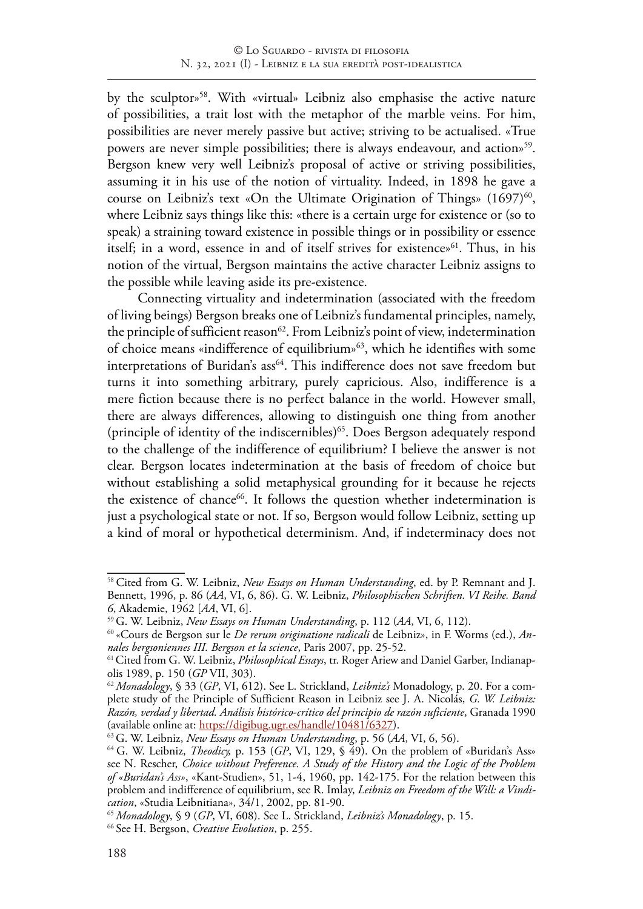by the sculptor»58. With «virtual» Leibniz also emphasise the active nature of possibilities, a trait lost with the metaphor of the marble veins. For him, possibilities are never merely passive but active; striving to be actualised. «True powers are never simple possibilities; there is always endeavour, and action<sup>59</sup>. Bergson knew very well Leibniz's proposal of active or striving possibilities, assuming it in his use of the notion of virtuality. Indeed, in 1898 he gave a course on Leibniz's text «On the Ultimate Origination of Things»  $(1697)^{60}$ , where Leibniz says things like this: «there is a certain urge for existence or (so to speak) a straining toward existence in possible things or in possibility or essence itself; in a word, essence in and of itself strives for existence»<sup>61</sup>. Thus, in his notion of the virtual, Bergson maintains the active character Leibniz assigns to the possible while leaving aside its pre-existence.

Connecting virtuality and indetermination (associated with the freedom of living beings) Bergson breaks one of Leibniz's fundamental principles, namely, the principle of sufficient reason<sup>62</sup>. From Leibniz's point of view, indetermination of choice means «indifference of equilibrium»63, which he identifies with some interpretations of Buridan's ass<sup>64</sup>. This indifference does not save freedom but turns it into something arbitrary, purely capricious. Also, indifference is a mere fiction because there is no perfect balance in the world. However small, there are always differences, allowing to distinguish one thing from another (principle of identity of the indiscernibles)<sup>65</sup>. Does Bergson adequately respond to the challenge of the indifference of equilibrium? I believe the answer is not clear. Bergson locates indetermination at the basis of freedom of choice but without establishing a solid metaphysical grounding for it because he rejects the existence of chance<sup>66</sup>. It follows the question whether indetermination is just a psychological state or not. If so, Bergson would follow Leibniz, setting up a kind of moral or hypothetical determinism. And, if indeterminacy does not

<sup>&</sup>lt;sup>58</sup> Cited from G. W. Leibniz, *New Essays on Human Understanding*, ed. by P. Remnant and J. Bennett, 1996, p. 86 (*AA*, VI, 6, 86). G. W. Leibniz, *Philosophischen Schriften. VI Reihe. Band 6*, Akademie, 1962 [*AA*, VI, 6].

<sup>59</sup>G. W. Leibniz, *New Essays on Human Understanding*, p. 112 (*AA*, VI, 6, 112).

<sup>60</sup> «Cours de Bergson sur le *De rerum originatione radicali* de Leibniz», in F. Worms (ed.), *Annales bergsoniennes III. Bergson et la science*, Paris 2007, pp. 25-52.

<sup>&</sup>lt;sup>61</sup> Cited from G. W. Leibniz, *Philosophical Essays*, tr. Roger Ariew and Daniel Garber, Indianapolis 1989, p. 150 (*GP* VII, 303).

<sup>62</sup>*Monadology*, § 33 (*GP*, VI, 612). See L. Strickland, *Leibniz's* Monadology, p. 20. For a complete study of the Principle of Sufficient Reason in Leibniz see J. A. Nicolás, *G. W. Leibniz: Razón, verdad y libertad. Análisis histórico-crítico del principio de razón suficiente*, Granada 1990 (available online at: https://digibug.ugr.es/handle/10481/6327).

<sup>63</sup>G. W. Leibniz, *New Essays on Human Understanding*, p. 56 (*AA*, VI, 6, 56).

<sup>&</sup>lt;sup>64</sup> G. W. Leibniz, *Theodicy*, p. 153 (*GP*, VI, 129,  $\frac{6}{3}$  49). On the problem of «Buridan's Ass» see N. Rescher, *Choice without Preference. A Study of the History and the Logic of the Problem of «Buridan's Ass»*, «Kant-Studien», 51, 1-4, 1960, pp. 142-175. For the relation between this problem and indifference of equilibrium, see R. Imlay, *Leibniz on Freedom of the Will: a Vindication*, «Studia Leibnitiana», 34/1, 2002, pp. 81-90.

<sup>65</sup> *Monadology*, § 9 (*GP*, VI, 608). See L. Strickland, *Leibniz's Monadology*, p. 15.

<sup>66</sup> See H. Bergson, *Creative Evolution*, p. 255.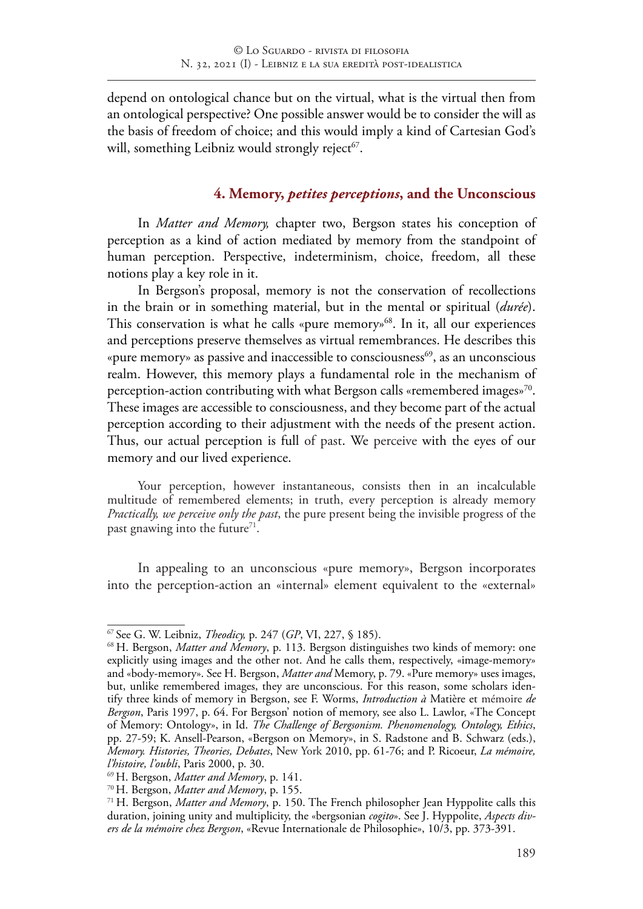depend on ontological chance but on the virtual, what is the virtual then from an ontological perspective? One possible answer would be to consider the will as the basis of freedom of choice; and this would imply a kind of Cartesian God's will, something Leibniz would strongly reject<sup>67</sup>.

#### **4. Memory,** *petites perceptions***, and the Unconscious**

In *Matter and Memory,* chapter two, Bergson states his conception of perception as a kind of action mediated by memory from the standpoint of human perception. Perspective, indeterminism, choice, freedom, all these notions play a key role in it.

In Bergson's proposal, memory is not the conservation of recollections in the brain or in something material, but in the mental or spiritual (*durée*). This conservation is what he calls «pure memory»<sup>68</sup>. In it, all our experiences and perceptions preserve themselves as virtual remembrances. He describes this «pure memory» as passive and inaccessible to consciousness<sup>69</sup>, as an unconscious realm. However, this memory plays a fundamental role in the mechanism of perception-action contributing with what Bergson calls «remembered images»<sup>70</sup>. These images are accessible to consciousness, and they become part of the actual perception according to their adjustment with the needs of the present action. Thus, our actual perception is full of past. We perceive with the eyes of our memory and our lived experience.

Your perception, however instantaneous, consists then in an incalculable multitude of remembered elements; in truth, every perception is already memory *Practically, we perceive only the past*, the pure present being the invisible progress of the past gnawing into the future<sup>71</sup>.

In appealing to an unconscious «pure memory», Bergson incorporates into the perception-action an «internal» element equivalent to the «external»

<sup>67</sup> See G. W. Leibniz, *Theodicy,* p. 247 (*GP*, VI, 227, § 185).

<sup>68</sup> H. Bergson, *Matter and Memory*, p. 113. Bergson distinguishes two kinds of memory: one explicitly using images and the other not. And he calls them, respectively, «image-memory» and «body-memory». See H. Bergson, *Matter and* Memory, p. 79. «Pure memory» uses images, but, unlike remembered images, they are unconscious. For this reason, some scholars identify three kinds of memory in Bergson, see F. Worms, *Introduction à* Matière et mémoire *de Bergson*, Paris 1997, p. 64. For Bergson' notion of memory, see also L. Lawlor, «The Concept of Memory: Ontology», in Id. *The Challenge of Bergsonism. Phenomenology, Ontology, Ethics*, pp. 27-59; K. Ansell-Pearson, «Bergson on Memory», in S. Radstone and B. Schwarz (eds.), *Memory. Histories, Theories, Debates*, New York 2010, pp. 61-76; and P. Ricoeur, *La mémoire, l'histoire, l'oubli*, Paris 2000, p. 30.

<sup>69</sup> H. Bergson, *Matter and Memory*, p. 141.

<sup>70</sup> H. Bergson, *Matter and Memory*, p. 155.

<sup>71</sup> H. Bergson, *Matter and Memory*, p. 150. The French philosopher Jean Hyppolite calls this duration, joining unity and multiplicity, the «bergsonian *cogito*». See J. Hyppolite, *Aspects divers de la mémoire chez Bergson*, «Revue Internationale de Philosophie», 10/3, pp. 373-391.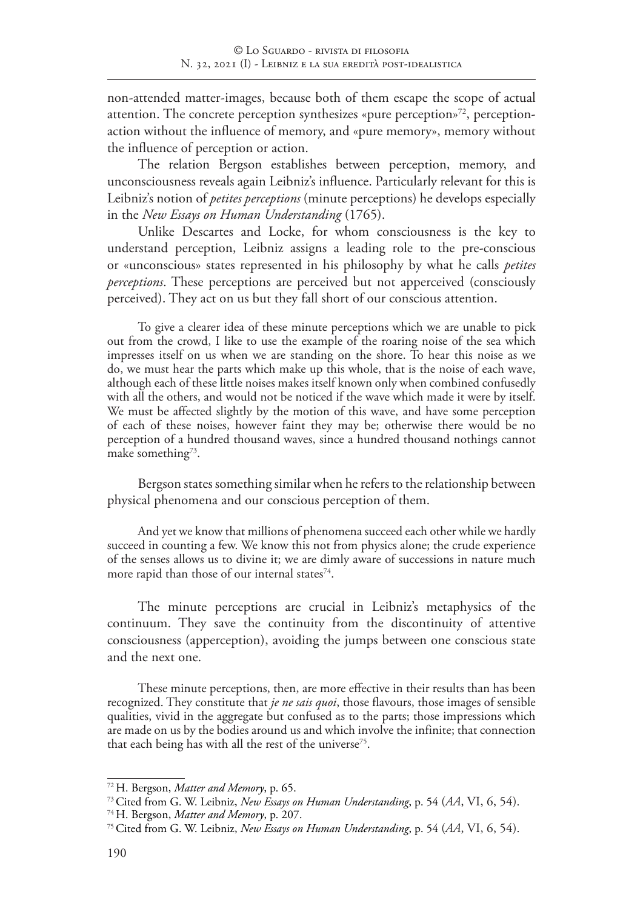non-attended matter-images, because both of them escape the scope of actual attention. The concrete perception synthesizes «pure perception»<sup>72</sup>, perceptionaction without the influence of memory, and «pure memory», memory without the influence of perception or action.

The relation Bergson establishes between perception, memory, and unconsciousness reveals again Leibniz's influence. Particularly relevant for this is Leibniz's notion of *petites perceptions* (minute perceptions) he develops especially in the *New Essays on Human Understanding* (1765).

Unlike Descartes and Locke, for whom consciousness is the key to understand perception, Leibniz assigns a leading role to the pre-conscious or «unconscious» states represented in his philosophy by what he calls *petites perceptions*. These perceptions are perceived but not apperceived (consciously perceived). They act on us but they fall short of our conscious attention.

To give a clearer idea of these minute perceptions which we are unable to pick out from the crowd, I like to use the example of the roaring noise of the sea which impresses itself on us when we are standing on the shore. To hear this noise as we do, we must hear the parts which make up this whole, that is the noise of each wave, although each of these little noises makes itself known only when combined confusedly with all the others, and would not be noticed if the wave which made it were by itself. We must be affected slightly by the motion of this wave, and have some perception of each of these noises, however faint they may be; otherwise there would be no perception of a hundred thousand waves, since a hundred thousand nothings cannot make something<sup>73</sup>.

Bergson states something similar when he refers to the relationship between physical phenomena and our conscious perception of them.

And yet we know that millions of phenomena succeed each other while we hardly succeed in counting a few. We know this not from physics alone; the crude experience of the senses allows us to divine it; we are dimly aware of successions in nature much more rapid than those of our internal states $74$ .

The minute perceptions are crucial in Leibniz's metaphysics of the continuum. They save the continuity from the discontinuity of attentive consciousness (apperception), avoiding the jumps between one conscious state and the next one.

These minute perceptions, then, are more effective in their results than has been recognized. They constitute that *je ne sais quoi*, those flavours, those images of sensible qualities, vivid in the aggregate but confused as to the parts; those impressions which are made on us by the bodies around us and which involve the infinite; that connection that each being has with all the rest of the universe<sup>75</sup>.

<sup>72</sup> H. Bergson, *Matter and Memory*, p. 65.

<sup>73</sup>Cited from G. W. Leibniz, *New Essays on Human Understanding*, p. 54 (*AA*, VI, 6, 54).

<sup>74</sup> H. Bergson, *Matter and Memory*, p. 207.

<sup>75</sup>Cited from G. W. Leibniz, *New Essays on Human Understanding*, p. 54 (*AA*, VI, 6, 54).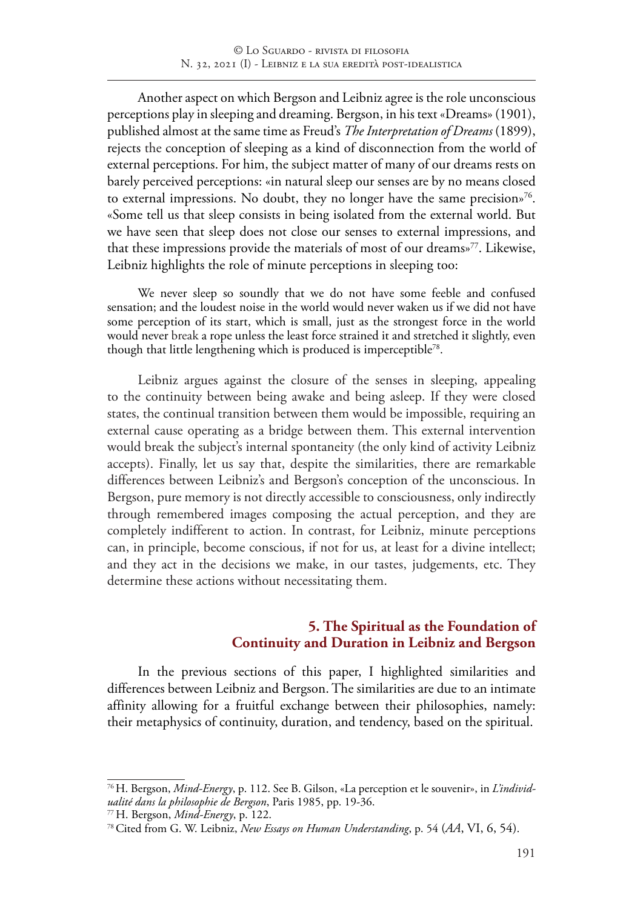Another aspect on which Bergson and Leibniz agree is the role unconscious perceptions play in sleeping and dreaming. Bergson, in his text «Dreams» (1901), published almost at the same time as Freud's *The Interpretation of Dreams* (1899), rejects the conception of sleeping as a kind of disconnection from the world of external perceptions. For him, the subject matter of many of our dreams rests on barely perceived perceptions: «in natural sleep our senses are by no means closed to external impressions. No doubt, they no longer have the same precision»<sup>76</sup>. «Some tell us that sleep consists in being isolated from the external world. But we have seen that sleep does not close our senses to external impressions, and that these impressions provide the materials of most of our dreams»77. Likewise, Leibniz highlights the role of minute perceptions in sleeping too:

We never sleep so soundly that we do not have some feeble and confused sensation; and the loudest noise in the world would never waken us if we did not have some perception of its start, which is small, just as the strongest force in the world would never break a rope unless the least force strained it and stretched it slightly, even though that little lengthening which is produced is imperceptible<sup>78</sup>.

Leibniz argues against the closure of the senses in sleeping, appealing to the continuity between being awake and being asleep. If they were closed states, the continual transition between them would be impossible, requiring an external cause operating as a bridge between them. This external intervention would break the subject's internal spontaneity (the only kind of activity Leibniz accepts). Finally, let us say that, despite the similarities, there are remarkable differences between Leibniz's and Bergson's conception of the unconscious. In Bergson, pure memory is not directly accessible to consciousness, only indirectly through remembered images composing the actual perception, and they are completely indifferent to action. In contrast, for Leibniz, minute perceptions can, in principle, become conscious, if not for us, at least for a divine intellect; and they act in the decisions we make, in our tastes, judgements, etc. They determine these actions without necessitating them.

## **5. The Spiritual as the Foundation of Continuity and Duration in Leibniz and Bergson**

In the previous sections of this paper, I highlighted similarities and differences between Leibniz and Bergson. The similarities are due to an intimate affinity allowing for a fruitful exchange between their philosophies, namely: their metaphysics of continuity, duration, and tendency, based on the spiritual.

<sup>76</sup>H. Bergson, *Mind-Energy*, p. 112. See B. Gilson, «La perception et le souvenir», in *L'individualité dans la philosophie de Bergson*, Paris 1985, pp. 19-36.

<sup>77</sup> H. Bergson, *Mind-Energy*, p. 122.

<sup>78</sup>Cited from G. W. Leibniz, *New Essays on Human Understanding*, p. 54 (*AA*, VI, 6, 54).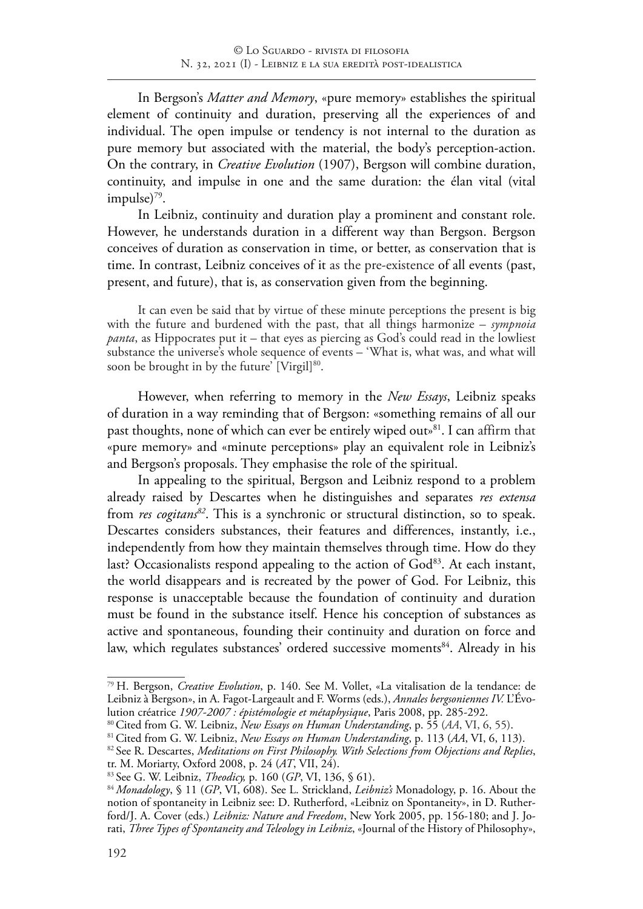In Bergson's *Matter and Memory*, «pure memory» establishes the spiritual element of continuity and duration, preserving all the experiences of and individual. The open impulse or tendency is not internal to the duration as pure memory but associated with the material, the body's perception-action. On the contrary, in *Creative Evolution* (1907), Bergson will combine duration, continuity, and impulse in one and the same duration: the élan vital (vital impulse)<sup>79</sup>.

In Leibniz, continuity and duration play a prominent and constant role. However, he understands duration in a different way than Bergson. Bergson conceives of duration as conservation in time, or better, as conservation that is time. In contrast, Leibniz conceives of it as the pre-existence of all events (past, present, and future), that is, as conservation given from the beginning.

It can even be said that by virtue of these minute perceptions the present is big with the future and burdened with the past, that all things harmonize – *sympnoia panta*, as Hippocrates put it – that eyes as piercing as God's could read in the lowliest substance the universe's whole sequence of events – 'What is, what was, and what will soon be brought in by the future' [Virgil]<sup>80</sup>.

However, when referring to memory in the *New Essays*, Leibniz speaks of duration in a way reminding that of Bergson: «something remains of all our past thoughts, none of which can ever be entirely wiped out»<sup>81</sup>. I can affirm that «pure memory» and «minute perceptions» play an equivalent role in Leibniz's and Bergson's proposals. They emphasise the role of the spiritual.

In appealing to the spiritual, Bergson and Leibniz respond to a problem already raised by Descartes when he distinguishes and separates *res extensa* from *res cogitans<sup>82</sup>*. This is a synchronic or structural distinction, so to speak. Descartes considers substances, their features and differences, instantly, i.e., independently from how they maintain themselves through time. How do they last? Occasionalists respond appealing to the action of God<sup>83</sup>. At each instant, the world disappears and is recreated by the power of God. For Leibniz, this response is unacceptable because the foundation of continuity and duration must be found in the substance itself. Hence his conception of substances as active and spontaneous, founding their continuity and duration on force and law, which regulates substances' ordered successive moments<sup>84</sup>. Already in his

<sup>79</sup> H. Bergson, *Creative Evolution*, p. 140. See M. Vollet, «La vitalisation de la tendance: de Leibniz à Bergson», in A. Fagot-Largeault and F. Worms (eds.), *Annales bergsoniennes IV.* L'Évolution créatrice *1907-2007 : épistémologie et métaphysique*, Paris 2008, pp. 285-292.

<sup>80</sup>Cited from G. W. Leibniz, *New Essays on Human Understanding*, p. 55 (*AA*, VI, 6, 55).

<sup>81</sup>Cited from G. W. Leibniz, *New Essays on Human Understanding*, p. 113 (*AA*, VI, 6, 113).

<sup>82</sup> See R. Descartes, *Meditations on First Philosophy. With Selections from Objections and Replies*,

tr. M. Moriarty, Oxford 2008, p. 24 (*AT*, VII, 24).

<sup>83</sup> See G. W. Leibniz, *Theodicy,* p. 160 (*GP*, VI, 136, § 61).

<sup>84</sup> *Monadology*, § 11 (*GP*, VI, 608). See L. Strickland, *Leibniz's* Monadology, p. 16. About the notion of spontaneity in Leibniz see: D. Rutherford, «Leibniz on Spontaneity», in D. Rutherford/J. A. Cover (eds.) *Leibniz: Nature and Freedom*, New York 2005, pp. 156-180; and J. Jorati, *Three Types of Spontaneity and Teleology in Leibniz*, «Journal of the History of Philosophy»,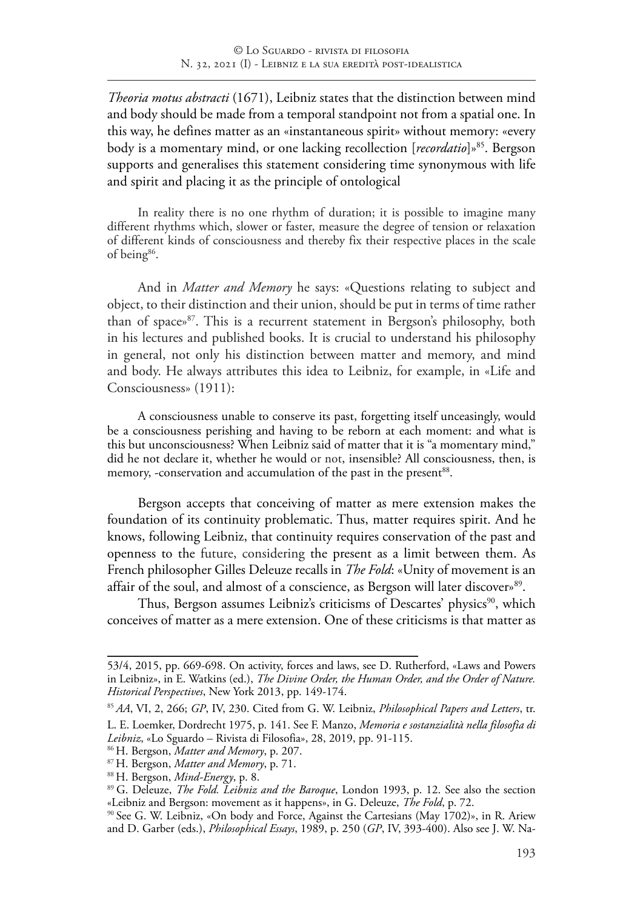*Theoria motus abstracti* (1671), Leibniz states that the distinction between mind and body should be made from a temporal standpoint not from a spatial one. In this way, he defines matter as an «instantaneous spirit» without memory: «every body is a momentary mind, or one lacking recollection [*recordatio*]»85. Bergson supports and generalises this statement considering time synonymous with life and spirit and placing it as the principle of ontological

In reality there is no one rhythm of duration; it is possible to imagine many different rhythms which, slower or faster, measure the degree of tension or relaxation of different kinds of consciousness and thereby fix their respective places in the scale of being<sup>86</sup>.

And in *Matter and Memory* he says: «Questions relating to subject and object, to their distinction and their union, should be put in terms of time rather than of space»87. This is a recurrent statement in Bergson's philosophy, both in his lectures and published books. It is crucial to understand his philosophy in general, not only his distinction between matter and memory, and mind and body. He always attributes this idea to Leibniz, for example, in «Life and Consciousness» (1911):

A consciousness unable to conserve its past, forgetting itself unceasingly, would be a consciousness perishing and having to be reborn at each moment: and what is this but unconsciousness? When Leibniz said of matter that it is "a momentary mind," did he not declare it, whether he would or not, insensible? All consciousness, then, is memory, -conservation and accumulation of the past in the present<sup>88</sup>.

Bergson accepts that conceiving of matter as mere extension makes the foundation of its continuity problematic. Thus, matter requires spirit. And he knows, following Leibniz, that continuity requires conservation of the past and openness to the future, considering the present as a limit between them. As French philosopher Gilles Deleuze recalls in *The Fold*: «Unity of movement is an affair of the soul, and almost of a conscience, as Bergson will later discover<sup>89</sup>.

Thus, Bergson assumes Leibniz's criticisms of Descartes' physics<sup>90</sup>, which conceives of matter as a mere extension. One of these criticisms is that matter as

<sup>53/4, 2015,</sup> pp. 669-698. On activity, forces and laws, see D. Rutherford, «Laws and Powers in Leibniz», in E. Watkins (ed.), *The Divine Order, the Human Order, and the Order of Nature. Historical Perspectives*, New York 2013, pp. 149-174.

<sup>85</sup> *AA*, VI, 2, 266; *GP*, IV, 230. Cited from G. W. Leibniz, *Philosophical Papers and Letters*, tr.

L. E. Loemker, Dordrecht 1975, p. 141. See F. Manzo, *Memoria e sostanzialità nella filosofia di Leibniz*, «Lo Sguardo – Rivista di Filosofia», 28, 2019, pp. 91-115.

<sup>86</sup> H. Bergson, *Matter and Memory*, p. 207.

<sup>87</sup> H. Bergson, *Matter and Memory*, p. 71.

<sup>88</sup> H. Bergson, *Mind-Energy*, p. 8.

<sup>89</sup> G. Deleuze, *The Fold. Leibniz and the Baroque*, London 1993, p. 12. See also the section «Leibniz and Bergson: movement as it happens», in G. Deleuze, *The Fold*, p. 72.

<sup>&</sup>lt;sup>90</sup> See G. W. Leibniz, «On body and Force, Against the Cartesians (May 1702)», in R. Ariew and D. Garber (eds.), *Philosophical Essays*, 1989, p. 250 (*GP*, IV, 393-400). Also see J. W. Na-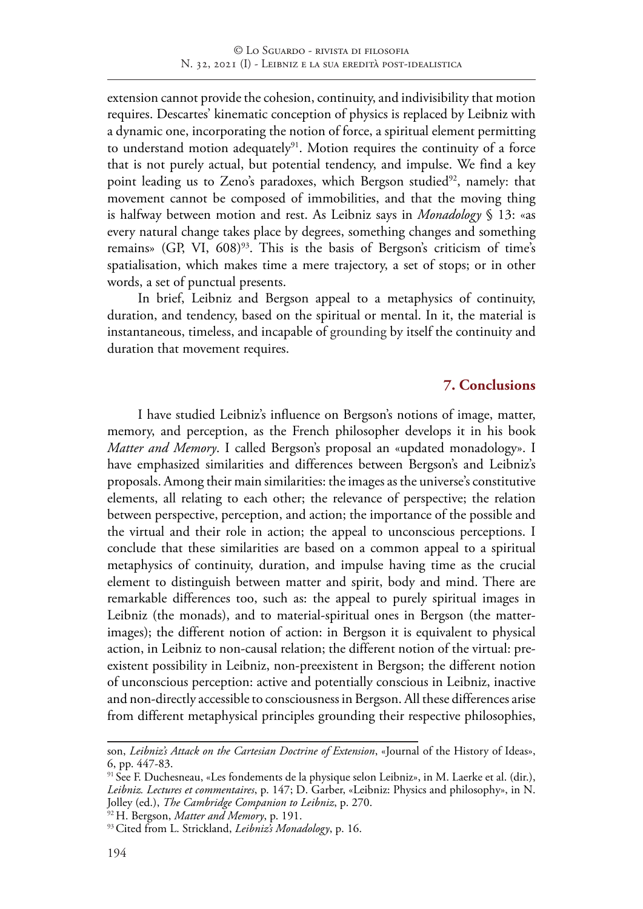extension cannot provide the cohesion, continuity, and indivisibility that motion requires. Descartes' kinematic conception of physics is replaced by Leibniz with a dynamic one, incorporating the notion of force, a spiritual element permitting to understand motion adequately<sup>91</sup>. Motion requires the continuity of a force that is not purely actual, but potential tendency, and impulse. We find a key point leading us to Zeno's paradoxes, which Bergson studied<sup>92</sup>, namely: that movement cannot be composed of immobilities, and that the moving thing is halfway between motion and rest. As Leibniz says in *Monadology* § 13: «as every natural change takes place by degrees, something changes and something remains» (GP, VI, 608)<sup>93</sup>. This is the basis of Bergson's criticism of time's spatialisation, which makes time a mere trajectory, a set of stops; or in other words, a set of punctual presents.

In brief, Leibniz and Bergson appeal to a metaphysics of continuity, duration, and tendency, based on the spiritual or mental. In it, the material is instantaneous, timeless, and incapable of grounding by itself the continuity and duration that movement requires.

### **7. Conclusions**

I have studied Leibniz's influence on Bergson's notions of image, matter, memory, and perception, as the French philosopher develops it in his book *Matter and Memory*. I called Bergson's proposal an «updated monadology». I have emphasized similarities and differences between Bergson's and Leibniz's proposals. Among their main similarities: the images as the universe's constitutive elements, all relating to each other; the relevance of perspective; the relation between perspective, perception, and action; the importance of the possible and the virtual and their role in action; the appeal to unconscious perceptions. I conclude that these similarities are based on a common appeal to a spiritual metaphysics of continuity, duration, and impulse having time as the crucial element to distinguish between matter and spirit, body and mind. There are remarkable differences too, such as: the appeal to purely spiritual images in Leibniz (the monads), and to material-spiritual ones in Bergson (the matterimages); the different notion of action: in Bergson it is equivalent to physical action, in Leibniz to non-causal relation; the different notion of the virtual: preexistent possibility in Leibniz, non-preexistent in Bergson; the different notion of unconscious perception: active and potentially conscious in Leibniz, inactive and non-directly accessible to consciousness in Bergson. All these differences arise from different metaphysical principles grounding their respective philosophies,

son, *Leibniz's Attack on the Cartesian Doctrine of Extension*, «Journal of the History of Ideas», 6, pp. 447-83.

<sup>&</sup>lt;sup>91</sup> See F. Duchesneau, «Les fondements de la physique selon Leibniz», in M. Laerke et al. (dir.), *Leibniz. Lectures et commentaires*, p. 147; D. Garber, «Leibniz: Physics and philosophy», in N. Jolley (ed.), *The Cambridge Companion to Leibniz*, p. 270.

<sup>92</sup> H. Bergson, *Matter and Memory*, p. 191.

<sup>93</sup>Cited from L. Strickland, *Leibniz's Monadology*, p. 16.